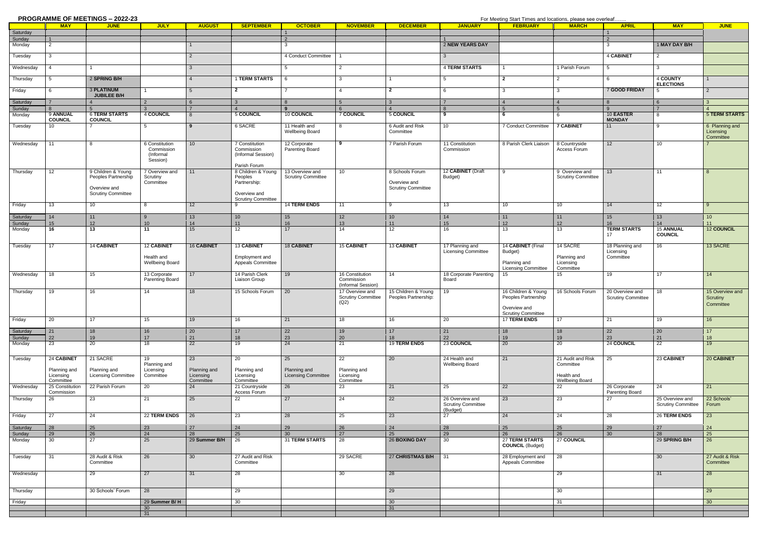|                  |                                        | <b>PROGRAMME OF MEETINGS - 2022-23</b>     |                                     |                                        |                                           |                                            |                                                      |                                             | For Meeting Start Times and locations, please see overleaf |                                                                                         |                                        |                                              |                                              |                                          |
|------------------|----------------------------------------|--------------------------------------------|-------------------------------------|----------------------------------------|-------------------------------------------|--------------------------------------------|------------------------------------------------------|---------------------------------------------|------------------------------------------------------------|-----------------------------------------------------------------------------------------|----------------------------------------|----------------------------------------------|----------------------------------------------|------------------------------------------|
|                  | <b>MAY</b>                             | <b>JUNE</b>                                | <b>JULY</b>                         | <b>AUGUST</b>                          | <b>SEPTEMBER</b>                          | <b>OCTOBER</b>                             | <b>NOVEMBER</b>                                      | <b>DECEMBER</b>                             | <b>JANUARY</b>                                             | <b>FEBRUARY</b>                                                                         | <b>MARCH</b>                           | <b>APRIL</b>                                 | <b>MAY</b>                                   | <b>JUNE</b>                              |
| Saturday         |                                        |                                            |                                     |                                        |                                           | $\overline{1}$                             |                                                      |                                             |                                                            |                                                                                         |                                        |                                              |                                              |                                          |
| Sunday<br>Monday | $\overline{1}$<br>$\overline{2}$       |                                            |                                     |                                        |                                           | 2<br>-3                                    |                                                      |                                             | 2 NEW YEARS DAY                                            |                                                                                         |                                        | $\overline{2}$<br>$\mathbf{3}$               | 1 MAY DAY B/H                                |                                          |
|                  |                                        |                                            |                                     |                                        |                                           |                                            |                                                      |                                             |                                                            |                                                                                         |                                        |                                              |                                              |                                          |
| Tuesday          | $\mathbf{3}$                           |                                            |                                     | $\overline{2}$                         |                                           | 4 Conduct Committee                        |                                                      |                                             | $3^{\circ}$                                                |                                                                                         |                                        | 4 CABINET                                    | 2                                            |                                          |
| Wednesday        | $\overline{4}$                         |                                            |                                     | 3 <sup>5</sup>                         |                                           | 5                                          | $\overline{2}$                                       |                                             | <b>4 TERM STARTS</b>                                       | $\mathbf{1}$                                                                            | 1 Parish Forum                         | 5                                            | 3                                            |                                          |
| Thursday         | 5                                      | 2 SPRING B/H                               |                                     | $\overline{4}$                         | <b>1 TERM STARTS</b>                      | - 6                                        | $\mathbf{3}$                                         |                                             | 5                                                          | $\overline{2}$                                                                          |                                        | - 6                                          | 4 COUNTY                                     |                                          |
| Friday           | 6                                      | <b>3 PLATINUM</b>                          |                                     | $5\overline{)}$                        | $\overline{2}$                            | $\overline{7}$                             | $\overline{4}$                                       | $\overline{2}$                              | 6                                                          | 3                                                                                       | $\mathbf{3}$                           | 7 GOOD FRIDAY                                | <b>ELECTIONS</b><br>5                        | $\overline{2}$                           |
|                  |                                        | JUBILEE B/H                                |                                     |                                        |                                           |                                            |                                                      |                                             |                                                            |                                                                                         |                                        |                                              |                                              |                                          |
| Saturday         | $\overline{7}$                         |                                            | $\mathfrak{p}$                      | 6                                      | $\mathbf{3}$                              | 8                                          | -5                                                   | $\mathbf{3}$                                | $\overline{7}$                                             | $\overline{4}$                                                                          | $\overline{4}$                         |                                              | 6                                            | 3                                        |
| Sunday           |                                        | <b>6 TERM STARTS</b>                       | 4 COUNCIL                           |                                        |                                           | $\alpha$                                   | <b>7 COUNCIL</b>                                     | 5 COUNCIL                                   | $\mathbf{8}$<br>9                                          | 5<br>6                                                                                  | $5\overline{5}$<br>6                   | $\Omega$<br>10 EASTER                        | $\overline{z}$<br>8                          | <b>5 TERM STARTS</b>                     |
| Monday           | 9 ANNUAL<br><b>COUNCIL</b>             | <b>COUNCIL</b>                             |                                     | 8                                      | 5 COUNCIL                                 | 10 COUNCIL                                 |                                                      |                                             |                                                            |                                                                                         |                                        | <b>MONDAY</b>                                |                                              |                                          |
| Tuesday          | 10                                     | $\overline{7}$                             | 5                                   | 9                                      | 6 SACRE                                   | 11 Health and<br><b>Wellbeing Board</b>    | 8                                                    | 6 Audit and Risk<br>Committee               | 10 <sup>1</sup>                                            | 7 Conduct Committee                                                                     | <b>7 CABINET</b>                       | 11                                           | 9                                            | 6 Planning and<br>Licensing<br>Committee |
| Wednesday        | 11                                     | 8                                          | 6 Constitution                      | 10                                     | 7 Constitution                            | 12 Corporate                               | 9                                                    | 7 Parish Forum                              | 11 Constitution                                            | 8 Parish Clerk Liaison                                                                  | 8 Countryside                          | 12                                           | 10                                           |                                          |
|                  |                                        |                                            | Commission<br>(Informal<br>Session) |                                        | Commission<br>(Informal Session)          | Parenting Board                            |                                                      |                                             | Commission                                                 |                                                                                         | Access Forum                           |                                              |                                              |                                          |
| Thursday         | 12                                     | 9 Children & Young                         | 7 Overview and                      | 11                                     | Parish Forum<br>8 Children & Young        | 13 Overview and                            | 10 <sup>1</sup>                                      | 8 Schools Forum                             | 12 CABINET (Draft                                          | 9                                                                                       | 9 Overview and                         | 13                                           | 11                                           |                                          |
|                  |                                        | Peoples Partnership<br>Overview and        | Scrutiny<br>Committee               |                                        | Peoples<br>Partnership:                   | <b>Scrutiny Committee</b>                  |                                                      | Overview and<br><b>Scrutiny Committee</b>   | Budget)                                                    |                                                                                         | <b>Scrutiny Committee</b>              |                                              |                                              |                                          |
|                  |                                        | <b>Scrutiny Committee</b>                  |                                     |                                        | Overview and<br><b>Scrutiny Committee</b> |                                            |                                                      |                                             |                                                            |                                                                                         |                                        |                                              |                                              |                                          |
| Friday           | 13                                     | 10                                         | 8                                   | 12                                     | -9                                        | <b>14 TERM ENDS</b>                        | 11                                                   | 9                                           | 13                                                         | 10                                                                                      | 10                                     | 14                                           | 12                                           | $\mathbf{Q}$                             |
| Saturday         | 14                                     | 11                                         | 9                                   | 13                                     | 10                                        | 15                                         | 12                                                   | 10 <sup>1</sup>                             | 14                                                         | 11                                                                                      | 11                                     | 15                                           | 13                                           | 10 <sup>1</sup>                          |
| Sunday           | 15                                     | 12                                         | 10                                  | 14                                     | 11                                        | 16                                         | 13                                                   | 11                                          | 15                                                         | 12                                                                                      | 12                                     | 16                                           | 14                                           | 11                                       |
| Monday           | 16                                     | 13                                         | 11                                  | 15                                     | 12                                        | 17                                         | 14                                                   | 12                                          | 16                                                         | 13                                                                                      | 13                                     | <b>TERM STARTS</b><br>17                     | <b>15 ANNUAL</b><br><b>COUNCIL</b>           | <b>12 COUNCIL</b>                        |
| Tuesday          | 17                                     | 14 CABINET                                 | <b>12 CABINET</b>                   | <b>16 CABINET</b>                      | 13 CABINET                                | <b>18 CABINET</b>                          | <b>15 CABINET</b>                                    | 13 CABINET                                  | 17 Planning and<br><b>Licensing Committee</b>              | 14 CABINET (Final<br>Budget)                                                            | 14 SACRE                               | 18 Planning and<br>Licensing                 | 16                                           | 13 SACRE                                 |
|                  |                                        |                                            | Health and<br>Wellbeing Board       |                                        | Employment and<br>Appeals Committee       |                                            |                                                      |                                             |                                                            | Planning and<br><b>Licensing Committee</b>                                              | Planning and<br>Licensing<br>Committee | Committee                                    |                                              |                                          |
| Wednesday        | 18                                     | 15                                         | 13 Corporate<br>Parenting Board     | 17                                     | 14 Parish Clerk<br><b>Liaison Group</b>   | 19                                         | 16 Constitution<br>Commission<br>(Informal Session)  | 14                                          | 18 Corporate Parenting<br>Board                            | 15                                                                                      | 15                                     | 19                                           | 17                                           | 14                                       |
| Thursday         | 19                                     | 16                                         | 14                                  | 18                                     | 15 Schools Forum                          | 20                                         | 17 Overview and<br><b>Scrutiny Committee</b><br>(Q2) | 15 Children & Young<br>Peoples Partnership: | 19                                                         | 16 Children & Young<br>Peoples Partnership<br>Overview and<br><b>Scrutiny Committee</b> | 16 Schools Forum                       | 20 Overview and<br><b>Scrutiny Committee</b> | 18                                           | 15 Overview and<br>Scrutiny<br>Committee |
| Friday           | 20                                     | $\overline{17}$                            | 15                                  | 19                                     | 16                                        | 21                                         | 18                                                   | 16                                          | 20                                                         | <b>17 TERM ENDS</b>                                                                     | 17                                     | 21                                           | 19                                           | 16                                       |
| Saturday         | 21                                     | 18                                         | 16                                  | 20                                     | 17                                        | 22                                         | 19                                                   | 17                                          | 21                                                         | 18                                                                                      | 18                                     | 22                                           | 20                                           | 17                                       |
| Sunday           | 22                                     | 19                                         | 17                                  | 21                                     | 18                                        | 23                                         | 20                                                   | 18                                          | 22                                                         | 19                                                                                      | 19                                     | 23                                           | 21                                           | 18                                       |
| Monday           | 23                                     | 20                                         | 18                                  | $\overline{22}$                        | 19                                        | 24                                         | 21                                                   | <b>19 TERM ENDS</b>                         | 23 COUNCIL                                                 | 20                                                                                      | 20                                     | 24 COUNCIL                                   | $\overline{22}$                              | 19                                       |
| Tuesday          | 24 CABINET                             | 21 SACRE                                   | 19<br>Planning and                  | 23                                     | 20                                        | 25                                         | 22                                                   | 20                                          | 24 Health and<br><b>Wellbeing Board</b>                    | 21                                                                                      | 21 Audit and Risk<br>Committee         | 25                                           | 23 CABINET                                   | 20 CABINET                               |
|                  | Planning and<br>Licensing<br>Committee | Planning and<br><b>Licensing Committee</b> | Licensing<br>Committee              | Planning and<br>Licensing<br>Committee | Planning and<br>Licensing<br>Committee    | Planning and<br><b>Licensing Committee</b> | Planning and<br>Licensing<br>Committee               |                                             |                                                            |                                                                                         | Health and<br><b>Wellbeing Board</b>   |                                              |                                              |                                          |
| Wednesday        | 25 Constitutio<br>Commission           | 22 Parish Forum                            | 20                                  | 24                                     | 21 Countryside<br>Access Forum            | 26                                         | 23                                                   | 21                                          | 25                                                         | 22                                                                                      | 22                                     | 26 Corporate<br><b>Parenting Board</b>       | 24                                           | 21                                       |
| Thursday         | 26                                     | 23                                         | 21                                  | 25                                     | 22                                        | 27                                         | 24                                                   | 22                                          | 26 Overview and<br><b>Scrutiny Committee</b><br>(Budget)   | 23                                                                                      | 23                                     | 27                                           | 25 Overview and<br><b>Scrutiny Committee</b> | 22 Schools'<br>Forum                     |
| Friday           | 27                                     | 24                                         | 22 TERM ENDS                        | $\sqrt{26}$                            | 23                                        | 28                                         | 25                                                   | 23                                          | 27                                                         | 24                                                                                      | 24                                     | 28                                           | <b>26 TERM ENDS</b>                          | 23                                       |
| Saturday         | 28                                     | 25                                         | 23                                  | 27                                     | 24                                        | 29                                         | 26                                                   | 24                                          | 28                                                         | 25                                                                                      | 25                                     | 29                                           | 27                                           | 24                                       |
| Sunday           | 29                                     | 26                                         | 24                                  | 28                                     | 25                                        | 30                                         | 27                                                   | 25                                          | 29                                                         | 26                                                                                      | 26                                     | 30                                           | 28                                           | 25                                       |
| Monday           | 30                                     | 27                                         | 25                                  | 29 Summer B/H                          | 26                                        | 31 TERM STARTS                             | 28                                                   | <b>26 BOXING DAY</b>                        | 30                                                         | <b>27 TERM STARTS</b><br><b>COUNCIL</b> (Budget)                                        | 27 COUNCIL                             |                                              | 29 SPRING B/H                                | 26                                       |
| Tuesday          | 31                                     | 28 Audit & Risk<br>Committee               | 26                                  | 30                                     | 27 Audit and Risk<br>Committee            |                                            | 29 SACRE                                             | 27 CHRISTMAS B/H                            | 31                                                         | 28 Employment and<br>Appeals Committee                                                  | 28                                     |                                              | 30                                           | 27 Audit & Risk<br>Committee             |
| Wednesday        |                                        | 29                                         | $\overline{27}$                     | 31                                     | 28                                        |                                            | 30                                                   | 28                                          |                                                            |                                                                                         | 29                                     |                                              | 31                                           | 28                                       |
| Thursday         |                                        | 30 Schools' Forum                          | 28                                  |                                        | 29                                        |                                            |                                                      | 29                                          |                                                            |                                                                                         | 30                                     |                                              |                                              | 29                                       |
| Friday           |                                        |                                            | 29 Summer B/H                       |                                        | 30                                        |                                            |                                                      | 30                                          |                                                            |                                                                                         | 31                                     |                                              |                                              | 30                                       |
|                  |                                        |                                            | 30                                  |                                        |                                           |                                            |                                                      | 31                                          |                                                            |                                                                                         |                                        |                                              |                                              |                                          |
|                  |                                        |                                            | $\overline{.31}$                    |                                        |                                           |                                            |                                                      |                                             |                                                            |                                                                                         |                                        |                                              |                                              |                                          |